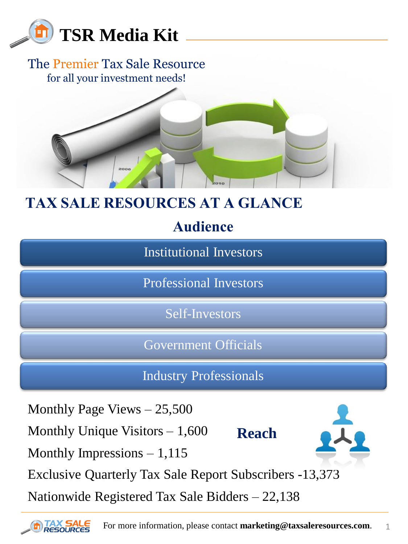

#### The Premier Tax Sale Resource for all your investment needs!



## **TAX SALE RESOURCES AT A GLANCE**

**Audience**

Institutional Investors

Professional Investors

Self-Investors

Government Officials

Industry Professionals

Monthly Page Views – 25,500

Monthly Unique Visitors  $-1,600$ 

Monthly Impressions  $-1,115$ 

**Reach**



Exclusive Quarterly Tax Sale Report Subscribers -13,373

Nationwide Registered Tax Sale Bidders – 22,138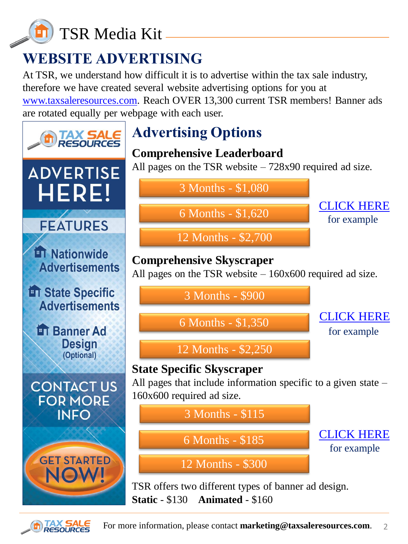

# **WEBSITE ADVERTISING**

At TSR, we understand how difficult it is to advertise within the tax sale industry, therefore we have created several website advertising options for you at [www.taxsaleresources.com.](http://www.taxsaleresources.com/) Reach OVER 13,300 current TSR members! Banner ads are rotated equally per webpage with each user.



**Static** - \$130 **Animated** - \$160